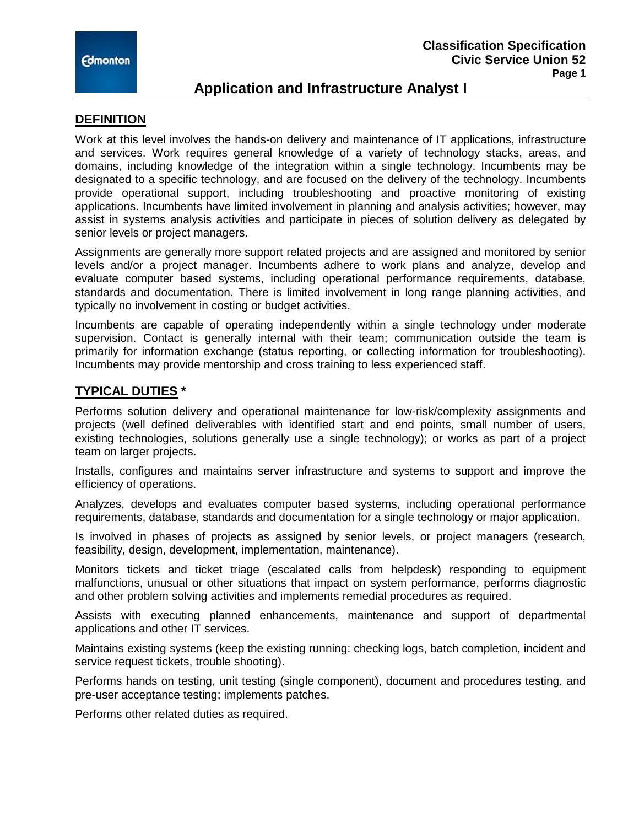

# **Application and Infrastructure Analyst I**

### **DEFINITION**

Work at this level involves the hands-on delivery and maintenance of IT applications, infrastructure and services. Work requires general knowledge of a variety of technology stacks, areas, and domains, including knowledge of the integration within a single technology. Incumbents may be designated to a specific technology, and are focused on the delivery of the technology. Incumbents provide operational support, including troubleshooting and proactive monitoring of existing applications. Incumbents have limited involvement in planning and analysis activities; however, may assist in systems analysis activities and participate in pieces of solution delivery as delegated by senior levels or project managers.

Assignments are generally more support related projects and are assigned and monitored by senior levels and/or a project manager. Incumbents adhere to work plans and analyze, develop and evaluate computer based systems, including operational performance requirements, database, standards and documentation. There is limited involvement in long range planning activities, and typically no involvement in costing or budget activities.

Incumbents are capable of operating independently within a single technology under moderate supervision. Contact is generally internal with their team; communication outside the team is primarily for information exchange (status reporting, or collecting information for troubleshooting). Incumbents may provide mentorship and cross training to less experienced staff.

## **TYPICAL DUTIES \***

Performs solution delivery and operational maintenance for low-risk/complexity assignments and projects (well defined deliverables with identified start and end points, small number of users, existing technologies, solutions generally use a single technology); or works as part of a project team on larger projects.

Installs, configures and maintains server infrastructure and systems to support and improve the efficiency of operations.

Analyzes, develops and evaluates computer based systems, including operational performance requirements, database, standards and documentation for a single technology or major application.

Is involved in phases of projects as assigned by senior levels, or project managers (research, feasibility, design, development, implementation, maintenance).

Monitors tickets and ticket triage (escalated calls from helpdesk) responding to equipment malfunctions, unusual or other situations that impact on system performance, performs diagnostic and other problem solving activities and implements remedial procedures as required.

Assists with executing planned enhancements, maintenance and support of departmental applications and other IT services.

Maintains existing systems (keep the existing running: checking logs, batch completion, incident and service request tickets, trouble shooting).

Performs hands on testing, unit testing (single component), document and procedures testing, and pre-user acceptance testing; implements patches.

Performs other related duties as required.